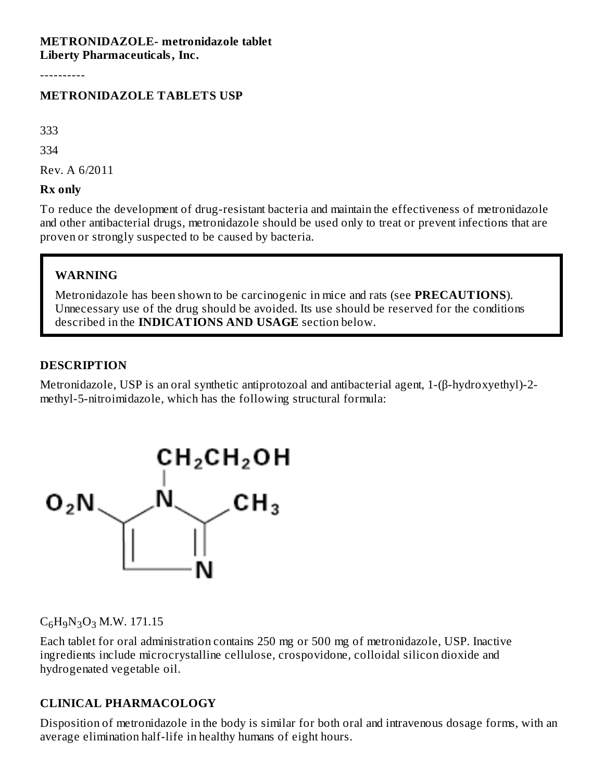#### **METRONIDAZOLE- metronidazole tablet Liberty Pharmaceuticals, Inc.**

----------

#### **METRONIDAZOLE TABLETS USP**

333

334

Rev. A 6/2011

**Rx only**

To reduce the development of drug-resistant bacteria and maintain the effectiveness of metronidazole and other antibacterial drugs, metronidazole should be used only to treat or prevent infections that are proven or strongly suspected to be caused by bacteria.

#### **WARNING**

Metronidazole has been shown to be carcinogenic in mice and rats (see **PRECAUTIONS**). Unnecessary use of the drug should be avoided. Its use should be reserved for the conditions described in the **INDICATIONS AND USAGE** section below.

#### **DESCRIPTION**

Metronidazole, USP is an oral synthetic antiprotozoal and antibacterial agent, 1-(β-hydroxyethyl)-2 methyl-5-nitroimidazole, which has the following structural formula:



 $C_6H_9N_3O_3$  M.W. 171.15

Each tablet for oral administration contains 250 mg or 500 mg of metronidazole, USP. Inactive ingredients include microcrystalline cellulose, crospovidone, colloidal silicon dioxide and hydrogenated vegetable oil.

#### **CLINICAL PHARMACOLOGY**

Disposition of metronidazole in the body is similar for both oral and intravenous dosage forms, with an average elimination half-life in healthy humans of eight hours.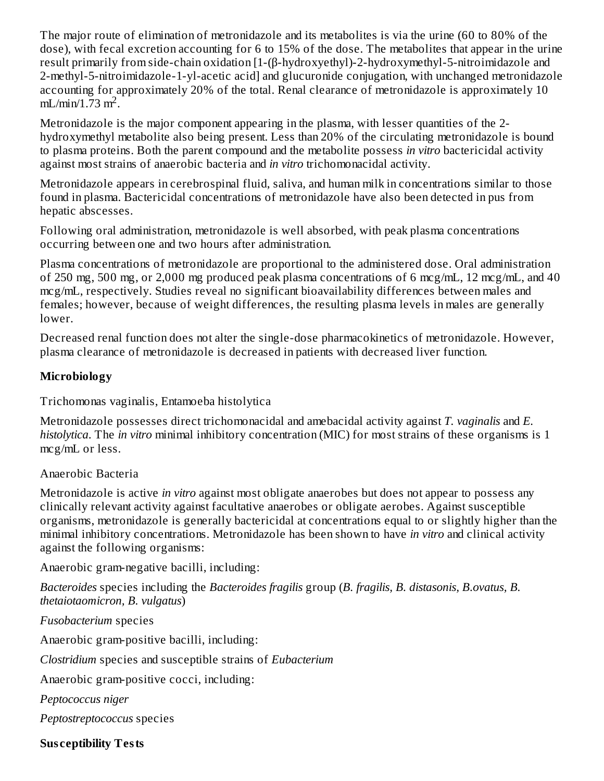The major route of elimination of metronidazole and its metabolites is via the urine (60 to 80% of the dose), with fecal excretion accounting for 6 to 15% of the dose. The metabolites that appear in the urine result primarily from side-chain oxidation [1-(β-hydroxyethyl)-2-hydroxymethyl-5-nitroimidazole and 2-methyl-5-nitroimidazole-1-yl-acetic acid] and glucuronide conjugation, with unchanged metronidazole accounting for approximately 20% of the total. Renal clearance of metronidazole is approximately 10  $mL/min/1.73 m<sup>2</sup>$ .

Metronidazole is the major component appearing in the plasma, with lesser quantities of the 2 hydroxymethyl metabolite also being present. Less than 20% of the circulating metronidazole is bound to plasma proteins. Both the parent compound and the metabolite possess *in vitro* bactericidal activity against most strains of anaerobic bacteria and *in vitro* trichomonacidal activity.

Metronidazole appears in cerebrospinal fluid, saliva, and human milk in concentrations similar to those found in plasma. Bactericidal concentrations of metronidazole have also been detected in pus from hepatic abscesses.

Following oral administration, metronidazole is well absorbed, with peak plasma concentrations occurring between one and two hours after administration.

Plasma concentrations of metronidazole are proportional to the administered dose. Oral administration of 250 mg, 500 mg, or 2,000 mg produced peak plasma concentrations of 6 mcg/mL, 12 mcg/mL, and 40 mcg/mL, respectively. Studies reveal no significant bioavailability differences between males and females; however, because of weight differences, the resulting plasma levels in males are generally lower.

Decreased renal function does not alter the single-dose pharmacokinetics of metronidazole. However, plasma clearance of metronidazole is decreased in patients with decreased liver function.

### **Microbiology**

Trichomonas vaginalis, Entamoeba histolytica

Metronidazole possesses direct trichomonacidal and amebacidal activity against *T. vaginalis* and *E. histolytica*. The *in vitro* minimal inhibitory concentration (MIC) for most strains of these organisms is 1 mcg/mL or less.

#### Anaerobic Bacteria

Metronidazole is active *in vitro* against most obligate anaerobes but does not appear to possess any clinically relevant activity against facultative anaerobes or obligate aerobes. Against susceptible organisms, metronidazole is generally bactericidal at concentrations equal to or slightly higher than the minimal inhibitory concentrations. Metronidazole has been shown to have *in vitro* and clinical activity against the following organisms:

Anaerobic gram-negative bacilli, including:

*Bacteroides* species including the *Bacteroides fragilis* group (*B. fragilis, B. distasonis, B.ovatus, B. thetaiotaomicron, B. vulgatus*)

*Fusobacterium* species

Anaerobic gram-positive bacilli, including:

*Clostridium* species and susceptible strains of *Eubacterium*

Anaerobic gram-positive cocci, including:

*Peptococcus niger*

*Peptostreptococcus* species

**Sus ceptibility Tests**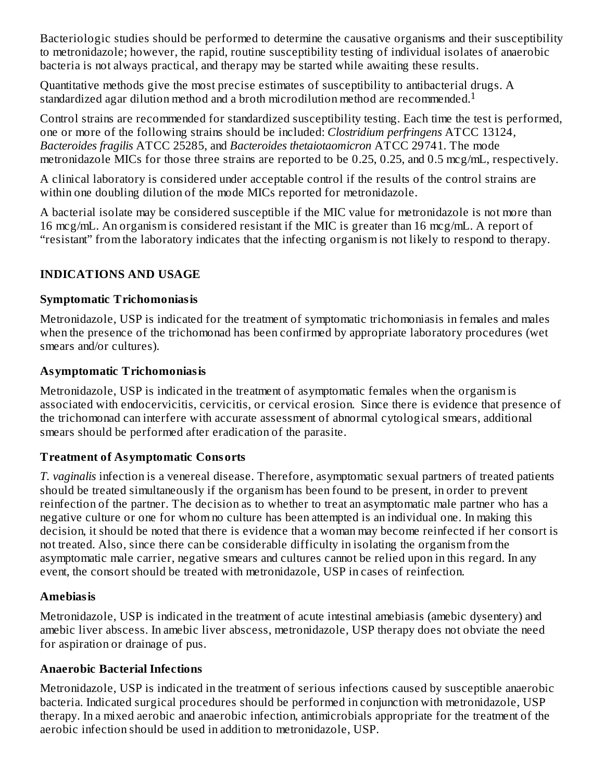Bacteriologic studies should be performed to determine the causative organisms and their susceptibility to metronidazole; however, the rapid, routine susceptibility testing of individual isolates of anaerobic bacteria is not always practical, and therapy may be started while awaiting these results.

Quantitative methods give the most precise estimates of susceptibility to antibacterial drugs. A standardized agar dilution method and a broth microdilution method are recommended.<sup>1</sup>

Control strains are recommended for standardized susceptibility testing. Each time the test is performed, one or more of the following strains should be included: *Clostridium perfringens* ATCC 13124, *Bacteroides fragilis* ATCC 25285, and *Bacteroides thetaiotaomicron* ATCC 29741. The mode metronidazole MICs for those three strains are reported to be 0.25, 0.25, and 0.5 mcg/mL, respectively.

A clinical laboratory is considered under acceptable control if the results of the control strains are within one doubling dilution of the mode MICs reported for metronidazole.

A bacterial isolate may be considered susceptible if the MIC value for metronidazole is not more than 16 mcg/mL. An organism is considered resistant if the MIC is greater than 16 mcg/mL. A report of "resistant" from the laboratory indicates that the infecting organism is not likely to respond to therapy.

### **INDICATIONS AND USAGE**

#### **Symptomatic Trichomoniasis**

Metronidazole, USP is indicated for the treatment of symptomatic trichomoniasis in females and males when the presence of the trichomonad has been confirmed by appropriate laboratory procedures (wet smears and/or cultures).

#### **Asymptomatic Trichomoniasis**

Metronidazole, USP is indicated in the treatment of asymptomatic females when the organism is associated with endocervicitis, cervicitis, or cervical erosion. Since there is evidence that presence of the trichomonad can interfere with accurate assessment of abnormal cytological smears, additional smears should be performed after eradication of the parasite.

### **Treatment of Asymptomatic Consorts**

*T. vaginalis* infection is a venereal disease. Therefore, asymptomatic sexual partners of treated patients should be treated simultaneously if the organism has been found to be present, in order to prevent reinfection of the partner. The decision as to whether to treat an asymptomatic male partner who has a negative culture or one for whom no culture has been attempted is an individual one. In making this decision, it should be noted that there is evidence that a woman may become reinfected if her consort is not treated. Also, since there can be considerable difficulty in isolating the organism from the asymptomatic male carrier, negative smears and cultures cannot be relied upon in this regard. In any event, the consort should be treated with metronidazole, USP in cases of reinfection.

#### **Amebiasis**

Metronidazole, USP is indicated in the treatment of acute intestinal amebiasis (amebic dysentery) and amebic liver abscess. In amebic liver abscess, metronidazole, USP therapy does not obviate the need for aspiration or drainage of pus.

### **Anaerobic Bacterial Infections**

Metronidazole, USP is indicated in the treatment of serious infections caused by susceptible anaerobic bacteria. Indicated surgical procedures should be performed in conjunction with metronidazole, USP therapy. In a mixed aerobic and anaerobic infection, antimicrobials appropriate for the treatment of the aerobic infection should be used in addition to metronidazole, USP.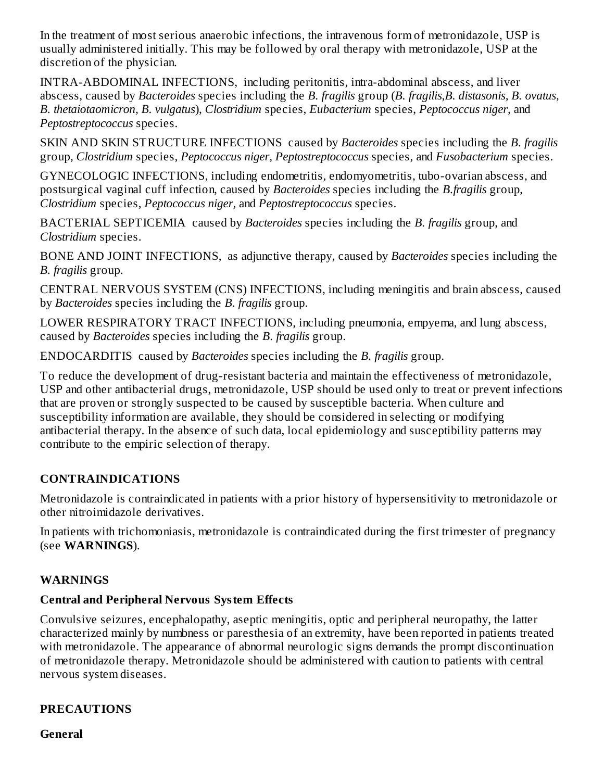In the treatment of most serious anaerobic infections, the intravenous form of metronidazole, USP is usually administered initially. This may be followed by oral therapy with metronidazole, USP at the discretion of the physician.

INTRA-ABDOMINAL INFECTIONS, including peritonitis, intra-abdominal abscess, and liver abscess, caused by *Bacteroides* species including the *B. fragilis* group (*B. fragilis,B. distasonis, B. ovatus, B. thetaiotaomicron, B. vulgatus*), *Clostridium* species, *Eubacterium* species, *Peptococcus niger,* and *Peptostreptococcus* species.

SKIN AND SKIN STRUCTURE INFECTIONS caused by *Bacteroides* species including the *B. fragilis* group, *Clostridium* species, *Peptococcus niger, Peptostreptococcus* species, and *Fusobacterium* species.

GYNECOLOGIC INFECTIONS, including endometritis, endomyometritis, tubo-ovarian abscess, and postsurgical vaginal cuff infection, caused by *Bacteroides* species including the *B.fragilis* group, *Clostridium* species, *Peptococcus niger,* and *Peptostreptococcus* species.

BACTERIAL SEPTICEMIA caused by *Bacteroides* species including the *B. fragilis* group, and *Clostridium* species.

BONE AND JOINT INFECTIONS, as adjunctive therapy, caused by *Bacteroides* species including the *B. fragilis* group.

CENTRAL NERVOUS SYSTEM (CNS) INFECTIONS, including meningitis and brain abscess, caused by *Bacteroides* species including the *B. fragilis* group.

LOWER RESPIRATORY TRACT INFECTIONS, including pneumonia, empyema, and lung abscess, caused by *Bacteroides* species including the *B. fragilis* group.

ENDOCARDITIS caused by *Bacteroides* species including the *B. fragilis* group.

To reduce the development of drug-resistant bacteria and maintain the effectiveness of metronidazole, USP and other antibacterial drugs, metronidazole, USP should be used only to treat or prevent infections that are proven or strongly suspected to be caused by susceptible bacteria. When culture and susceptibility information are available, they should be considered in selecting or modifying antibacterial therapy. In the absence of such data, local epidemiology and susceptibility patterns may contribute to the empiric selection of therapy.

### **CONTRAINDICATIONS**

Metronidazole is contraindicated in patients with a prior history of hypersensitivity to metronidazole or other nitroimidazole derivatives.

In patients with trichomoniasis, metronidazole is contraindicated during the first trimester of pregnancy (see **WARNINGS**).

### **WARNINGS**

### **Central and Peripheral Nervous System Effects**

Convulsive seizures, encephalopathy, aseptic meningitis, optic and peripheral neuropathy, the latter characterized mainly by numbness or paresthesia of an extremity, have been reported in patients treated with metronidazole. The appearance of abnormal neurologic signs demands the prompt discontinuation of metronidazole therapy. Metronidazole should be administered with caution to patients with central nervous system diseases.

### **PRECAUTIONS**

**General**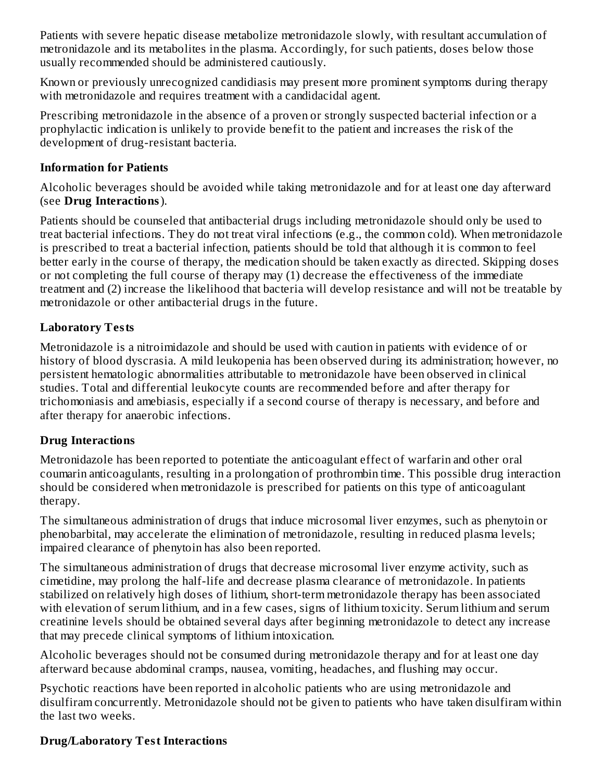Patients with severe hepatic disease metabolize metronidazole slowly, with resultant accumulation of metronidazole and its metabolites in the plasma. Accordingly, for such patients, doses below those usually recommended should be administered cautiously.

Known or previously unrecognized candidiasis may present more prominent symptoms during therapy with metronidazole and requires treatment with a candidacidal agent.

Prescribing metronidazole in the absence of a proven or strongly suspected bacterial infection or a prophylactic indication is unlikely to provide benefit to the patient and increases the risk of the development of drug-resistant bacteria.

#### **Information for Patients**

Alcoholic beverages should be avoided while taking metronidazole and for at least one day afterward (see **Drug Interactions**).

Patients should be counseled that antibacterial drugs including metronidazole should only be used to treat bacterial infections. They do not treat viral infections (e.g., the common cold). When metronidazole is prescribed to treat a bacterial infection, patients should be told that although it is common to feel better early in the course of therapy, the medication should be taken exactly as directed. Skipping doses or not completing the full course of therapy may (1) decrease the effectiveness of the immediate treatment and (2) increase the likelihood that bacteria will develop resistance and will not be treatable by metronidazole or other antibacterial drugs in the future.

## **Laboratory Tests**

Metronidazole is a nitroimidazole and should be used with caution in patients with evidence of or history of blood dyscrasia. A mild leukopenia has been observed during its administration; however, no persistent hematologic abnormalities attributable to metronidazole have been observed in clinical studies. Total and differential leukocyte counts are recommended before and after therapy for trichomoniasis and amebiasis, especially if a second course of therapy is necessary, and before and after therapy for anaerobic infections.

### **Drug Interactions**

Metronidazole has been reported to potentiate the anticoagulant effect of warfarin and other oral coumarin anticoagulants, resulting in a prolongation of prothrombin time. This possible drug interaction should be considered when metronidazole is prescribed for patients on this type of anticoagulant therapy.

The simultaneous administration of drugs that induce microsomal liver enzymes, such as phenytoin or phenobarbital, may accelerate the elimination of metronidazole, resulting in reduced plasma levels; impaired clearance of phenytoin has also been reported.

The simultaneous administration of drugs that decrease microsomal liver enzyme activity, such as cimetidine, may prolong the half-life and decrease plasma clearance of metronidazole. In patients stabilized on relatively high doses of lithium, short-term metronidazole therapy has been associated with elevation of serum lithium, and in a few cases, signs of lithium toxicity. Serum lithium and serum creatinine levels should be obtained several days after beginning metronidazole to detect any increase that may precede clinical symptoms of lithium intoxication.

Alcoholic beverages should not be consumed during metronidazole therapy and for at least one day afterward because abdominal cramps, nausea, vomiting, headaches, and flushing may occur.

Psychotic reactions have been reported in alcoholic patients who are using metronidazole and disulfiram concurrently. Metronidazole should not be given to patients who have taken disulfiram within the last two weeks.

### **Drug/Laboratory Test Interactions**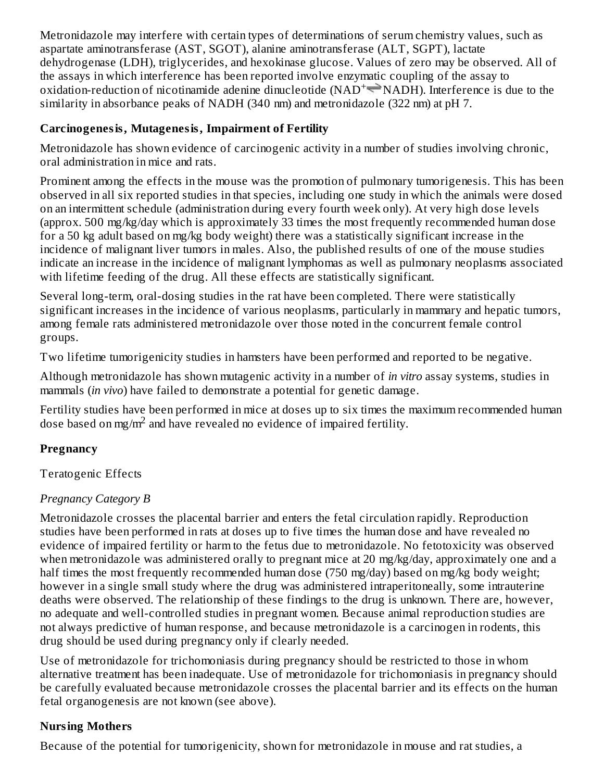Metronidazole may interfere with certain types of determinations of serum chemistry values, such as aspartate aminotransferase (AST, SGOT), alanine aminotransferase (ALT, SGPT), lactate dehydrogenase (LDH), triglycerides, and hexokinase glucose. Values of zero may be observed. All of the assays in which interference has been reported involve enzymatic coupling of the assay to oxidation-reduction of nicotinamide adenine dinucleotide ( $NAD^+\equiv NADH$ ). Interference is due to the similarity in absorbance peaks of NADH (340 nm) and metronidazole (322 nm) at pH 7.

## **Carcinogenesis, Mutagenesis, Impairment of Fertility**

Metronidazole has shown evidence of carcinogenic activity in a number of studies involving chronic, oral administration in mice and rats.

Prominent among the effects in the mouse was the promotion of pulmonary tumorigenesis. This has been observed in all six reported studies in that species, including one study in which the animals were dosed on an intermittent schedule (administration during every fourth week only). At very high dose levels (approx. 500 mg/kg/day which is approximately 33 times the most frequently recommended human dose for a 50 kg adult based on mg/kg body weight) there was a statistically significant increase in the incidence of malignant liver tumors in males. Also, the published results of one of the mouse studies indicate an increase in the incidence of malignant lymphomas as well as pulmonary neoplasms associated with lifetime feeding of the drug. All these effects are statistically significant.

Several long-term, oral-dosing studies in the rat have been completed. There were statistically significant increases in the incidence of various neoplasms, particularly in mammary and hepatic tumors, among female rats administered metronidazole over those noted in the concurrent female control groups.

Two lifetime tumorigenicity studies in hamsters have been performed and reported to be negative.

Although metronidazole has shown mutagenic activity in a number of *in vitro* assay systems, studies in mammals (*in vivo*) have failed to demonstrate a potential for genetic damage.

Fertility studies have been performed in mice at doses up to six times the maximum recommended human dose based on mg/m<sup>2</sup> and have revealed no evidence of impaired fertility.

## **Pregnancy**

Teratogenic Effects

### *Pregnancy Category B*

Metronidazole crosses the placental barrier and enters the fetal circulation rapidly. Reproduction studies have been performed in rats at doses up to five times the human dose and have revealed no evidence of impaired fertility or harm to the fetus due to metronidazole. No fetotoxicity was observed when metronidazole was administered orally to pregnant mice at 20 mg/kg/day, approximately one and a half times the most frequently recommended human dose (750 mg/day) based on mg/kg body weight; however in a single small study where the drug was administered intraperitoneally, some intrauterine deaths were observed. The relationship of these findings to the drug is unknown. There are, however, no adequate and well-controlled studies in pregnant women. Because animal reproduction studies are not always predictive of human response, and because metronidazole is a carcinogen in rodents, this drug should be used during pregnancy only if clearly needed.

Use of metronidazole for trichomoniasis during pregnancy should be restricted to those in whom alternative treatment has been inadequate. Use of metronidazole for trichomoniasis in pregnancy should be carefully evaluated because metronidazole crosses the placental barrier and its effects on the human fetal organogenesis are not known (see above).

## **Nursing Mothers**

Because of the potential for tumorigenicity, shown for metronidazole in mouse and rat studies, a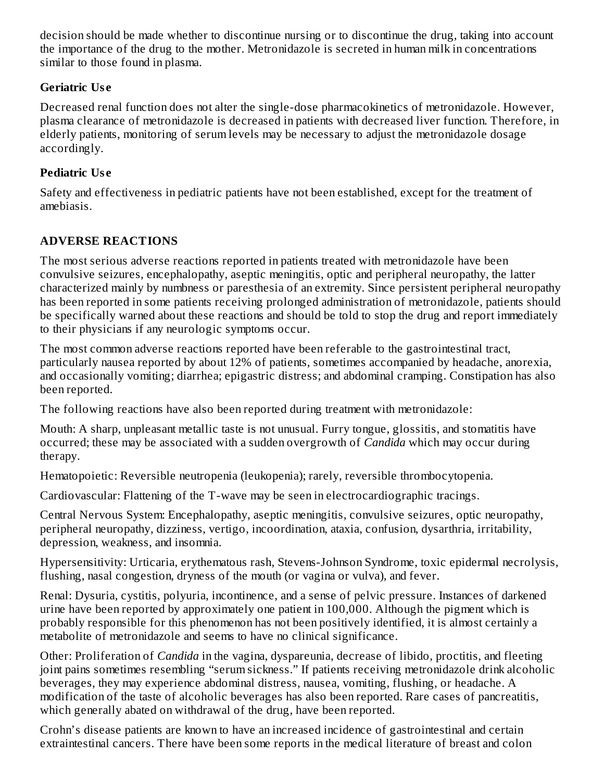decision should be made whether to discontinue nursing or to discontinue the drug, taking into account the importance of the drug to the mother. Metronidazole is secreted in human milk in concentrations similar to those found in plasma.

#### **Geriatric Us e**

Decreased renal function does not alter the single-dose pharmacokinetics of metronidazole. However, plasma clearance of metronidazole is decreased in patients with decreased liver function. Therefore, in elderly patients, monitoring of serum levels may be necessary to adjust the metronidazole dosage accordingly.

#### **Pediatric Us e**

Safety and effectiveness in pediatric patients have not been established, except for the treatment of amebiasis.

### **ADVERSE REACTIONS**

The most serious adverse reactions reported in patients treated with metronidazole have been convulsive seizures, encephalopathy, aseptic meningitis, optic and peripheral neuropathy, the latter characterized mainly by numbness or paresthesia of an extremity. Since persistent peripheral neuropathy has been reported in some patients receiving prolonged administration of metronidazole, patients should be specifically warned about these reactions and should be told to stop the drug and report immediately to their physicians if any neurologic symptoms occur.

The most common adverse reactions reported have been referable to the gastrointestinal tract, particularly nausea reported by about 12% of patients, sometimes accompanied by headache, anorexia, and occasionally vomiting; diarrhea; epigastric distress; and abdominal cramping. Constipation has also been reported.

The following reactions have also been reported during treatment with metronidazole:

Mouth: A sharp, unpleasant metallic taste is not unusual. Furry tongue, glossitis, and stomatitis have occurred; these may be associated with a sudden overgrowth of *Candida* which may occur during therapy.

Hematopoietic: Reversible neutropenia (leukopenia); rarely, reversible thrombocytopenia.

Cardiovascular: Flattening of the T-wave may be seen in electrocardiographic tracings.

Central Nervous System: Encephalopathy, aseptic meningitis, convulsive seizures, optic neuropathy, peripheral neuropathy, dizziness, vertigo, incoordination, ataxia, confusion, dysarthria, irritability, depression, weakness, and insomnia.

Hypersensitivity: Urticaria, erythematous rash, Stevens-Johnson Syndrome, toxic epidermal necrolysis, flushing, nasal congestion, dryness of the mouth (or vagina or vulva), and fever.

Renal: Dysuria, cystitis, polyuria, incontinence, and a sense of pelvic pressure. Instances of darkened urine have been reported by approximately one patient in 100,000. Although the pigment which is probably responsible for this phenomenon has not been positively identified, it is almost certainly a metabolite of metronidazole and seems to have no clinical significance.

Other: Proliferation of *Candida* in the vagina, dyspareunia, decrease of libido, proctitis, and fleeting joint pains sometimes resembling "serum sickness." If patients receiving metronidazole drink alcoholic beverages, they may experience abdominal distress, nausea, vomiting, flushing, or headache. A modification of the taste of alcoholic beverages has also been reported. Rare cases of pancreatitis, which generally abated on withdrawal of the drug, have been reported.

Crohn's disease patients are known to have an increased incidence of gastrointestinal and certain extraintestinal cancers. There have been some reports in the medical literature of breast and colon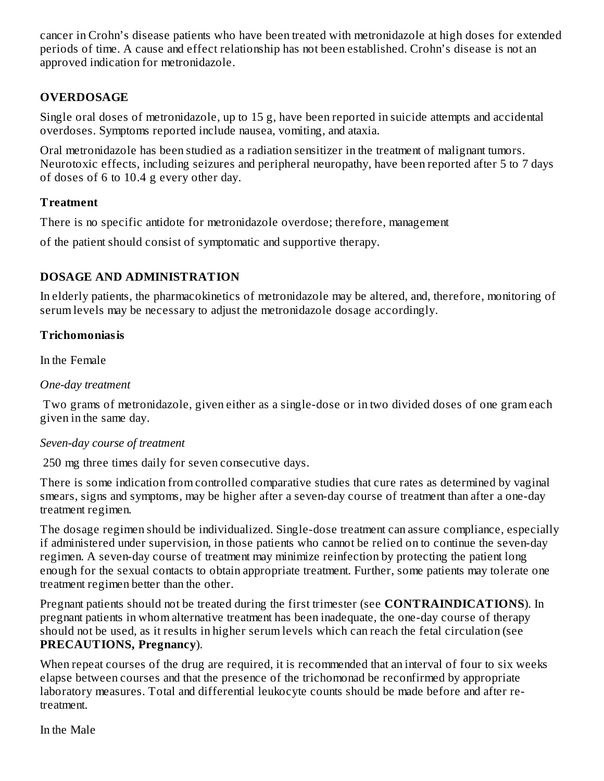cancer in Crohn's disease patients who have been treated with metronidazole at high doses for extended periods of time. A cause and effect relationship has not been established. Crohn's disease is not an approved indication for metronidazole.

### **OVERDOSAGE**

Single oral doses of metronidazole, up to 15 g, have been reported in suicide attempts and accidental overdoses. Symptoms reported include nausea, vomiting, and ataxia.

Oral metronidazole has been studied as a radiation sensitizer in the treatment of malignant tumors. Neurotoxic effects, including seizures and peripheral neuropathy, have been reported after 5 to 7 days of doses of 6 to 10.4 g every other day.

### **Treatment**

There is no specific antidote for metronidazole overdose; therefore, management

of the patient should consist of symptomatic and supportive therapy.

### **DOSAGE AND ADMINISTRATION**

In elderly patients, the pharmacokinetics of metronidazole may be altered, and, therefore, monitoring of serum levels may be necessary to adjust the metronidazole dosage accordingly.

#### **Trichomoniasis**

In the Female

#### *One-day treatment*

Two grams of metronidazole, given either as a single-dose or in two divided doses of one gram each given in the same day.

### *Seven-day course of treatment*

250 mg three times daily for seven consecutive days.

There is some indication from controlled comparative studies that cure rates as determined by vaginal smears, signs and symptoms, may be higher after a seven-day course of treatment than after a one-day treatment regimen.

The dosage regimen should be individualized. Single-dose treatment can assure compliance, especially if administered under supervision, in those patients who cannot be relied on to continue the seven-day regimen. A seven-day course of treatment may minimize reinfection by protecting the patient long enough for the sexual contacts to obtain appropriate treatment. Further, some patients may tolerate one treatment regimen better than the other.

Pregnant patients should not be treated during the first trimester (see **CONTRAINDICATIONS**). In pregnant patients in whom alternative treatment has been inadequate, the one-day course of therapy should not be used, as it results in higher serum levels which can reach the fetal circulation (see **PRECAUTIONS, Pregnancy**).

When repeat courses of the drug are required, it is recommended that an interval of four to six weeks elapse between courses and that the presence of the trichomonad be reconfirmed by appropriate laboratory measures. Total and differential leukocyte counts should be made before and after retreatment.

In the Male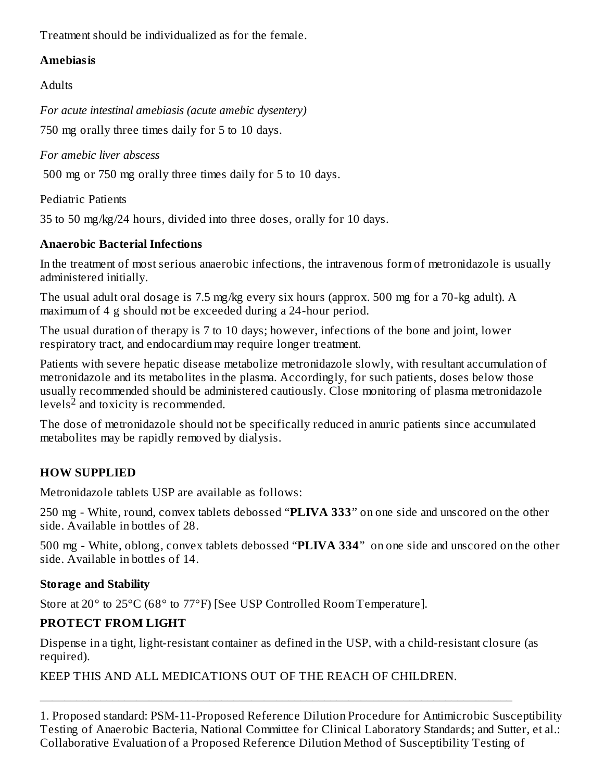Treatment should be individualized as for the female.

### **Amebiasis**

**Adults** 

*For acute intestinal amebiasis (acute amebic dysentery)*

750 mg orally three times daily for 5 to 10 days.

*For amebic liver abscess*

500 mg or 750 mg orally three times daily for 5 to 10 days.

Pediatric Patients

35 to 50 mg/kg/24 hours, divided into three doses, orally for 10 days.

# **Anaerobic Bacterial Infections**

In the treatment of most serious anaerobic infections, the intravenous form of metronidazole is usually administered initially.

The usual adult oral dosage is 7.5 mg/kg every six hours (approx. 500 mg for a 70-kg adult). A maximum of 4 g should not be exceeded during a 24-hour period.

The usual duration of therapy is 7 to 10 days; however, infections of the bone and joint, lower respiratory tract, and endocardium may require longer treatment.

Patients with severe hepatic disease metabolize metronidazole slowly, with resultant accumulation of metronidazole and its metabolites in the plasma. Accordingly, for such patients, doses below those usually recommended should be administered cautiously. Close monitoring of plasma metronidazole levels $^2$  and toxicity is recommended.

The dose of metronidazole should not be specifically reduced in anuric patients since accumulated metabolites may be rapidly removed by dialysis.

# **HOW SUPPLIED**

Metronidazole tablets USP are available as follows:

250 mg - White, round, convex tablets debossed "**PLIVA 333**" on one side and unscored on the other side. Available in bottles of 28.

500 mg - White, oblong, convex tablets debossed "**PLIVA 334**" on one side and unscored on the other side. Available in bottles of 14.

## **Storage and Stability**

Store at 20° to 25°C (68° to 77°F) [See USP Controlled Room Temperature].

## **PROTECT FROM LIGHT**

Dispense in a tight, light-resistant container as defined in the USP, with a child-resistant closure (as required).

\_\_\_\_\_\_\_\_\_\_\_\_\_\_\_\_\_\_\_\_\_\_\_\_\_\_\_\_\_\_\_\_\_\_\_\_\_\_\_\_\_\_\_\_\_\_\_\_\_\_\_\_\_\_\_\_\_\_\_\_\_\_\_\_\_\_\_\_\_\_\_\_\_\_\_\_\_\_

KEEP THIS AND ALL MEDICATIONS OUT OF THE REACH OF CHILDREN.

1. Proposed standard: PSM-11-Proposed Reference Dilution Procedure for Antimicrobic Susceptibility Testing of Anaerobic Bacteria, National Committee for Clinical Laboratory Standards; and Sutter, et al.: Collaborative Evaluation of a Proposed Reference Dilution Method of Susceptibility Testing of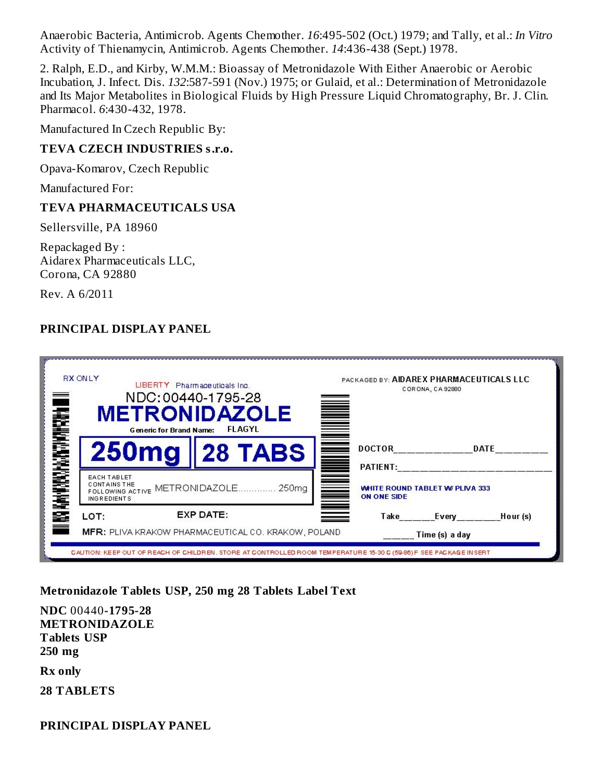Anaerobic Bacteria, Antimicrob. Agents Chemother. *16*:495-502 (Oct.) 1979; and Tally, et al.: *In Vitro* Activity of Thienamycin, Antimicrob. Agents Chemother. *14*:436-438 (Sept.) 1978.

2. Ralph, E.D., and Kirby, W.M.M.: Bioassay of Metronidazole With Either Anaerobic or Aerobic Incubation, J. Infect. Dis. *132*:587-591 (Nov.) 1975; or Gulaid, et al.: Determination of Metronidazole and Its Major Metabolites in Biological Fluids by High Pressure Liquid Chromatography, Br. J. Clin. Pharmacol. *6*:430-432, 1978.

Manufactured In Czech Republic By:

#### **TEVA CZECH INDUSTRIES s.r.o.**

Opava-Komarov, Czech Republic

Manufactured For:

#### **TEVA PHARMACEUTICALS USA**

Sellersville, PA 18960

Repackaged By : Aidarex Pharmaceuticals LLC, Corona, CA 92880

Rev. A 6/2011

#### **PRINCIPAL DISPLAY PANEL**

| <b>RX ONLY</b><br>LIBERTY Pharmaceuticals Inc.<br>NDC:00440-1795-28<br><b>METRONIDAZOLE</b><br><b>FLAGYL</b><br><b>Generic for Brand Name:</b>                 | PACKAGED BY: AIDAREX PHARMACEUTICALS LLC<br>CORONA, CA 92880<br>in de la construction de la construction de la construction de la construction de la construction de la constr<br>De la construction de la construction de la construction de la construction de la construction de la construct |
|----------------------------------------------------------------------------------------------------------------------------------------------------------------|--------------------------------------------------------------------------------------------------------------------------------------------------------------------------------------------------------------------------------------------------------------------------------------------------|
| <b>250mg</b><br><b>∥28 TABS</b>                                                                                                                                | <b>DOCTOR</b><br><b>DATE</b>                                                                                                                                                                                                                                                                     |
| <b>WO KAN FIRSTANDAL MATERIAL</b><br><b>EACH TABLET</b><br><b>CONTAINS THE</b><br>METRONIDAZOLE<br>250 <sub>ma</sub><br>FOLLOWING ACTIVE<br><b>INGREDIENTS</b> | PATIENT:<br>▋<br><b>WHITE ROUND TABLET W/ PLIVA 333</b><br><b>ON ONE SIDE</b>                                                                                                                                                                                                                    |
| EXP DATE:<br>LOT:                                                                                                                                              | Take Every<br>Hour (s)                                                                                                                                                                                                                                                                           |
| <b>MFR:</b> PLIVA KRAKOW PHARMACEUTICAL CO. KRAKOW, POLAND                                                                                                     | Time (s) a day                                                                                                                                                                                                                                                                                   |

#### **Metronidazole Tablets USP, 250 mg 28 Tablets Label Text**

**NDC** 00440**-1795-28 METRONIDAZOLE Tablets USP 250 mg**

**Rx only**

**28 TABLETS**

**PRINCIPAL DISPLAY PANEL**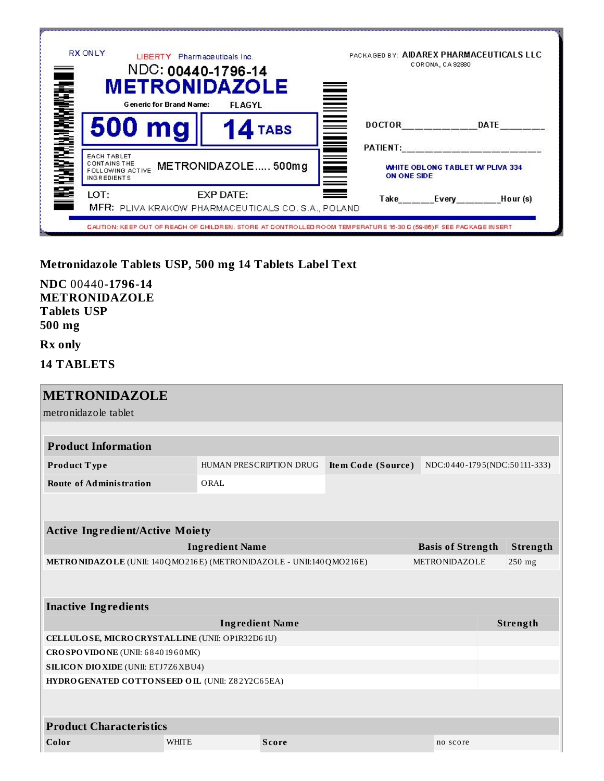|                                                        | <b>RX ONLY</b>                                                                                             | LIBERTY Pharmaceuticals Inc.<br>NDC: 00440-1796-14<br><b>METRONIDAZOLE</b>                                         | CORONA, CA 92880                                                               | PACKAGED BY: AIDAREX PHARMACEUTICALS LLC |  |
|--------------------------------------------------------|------------------------------------------------------------------------------------------------------------|--------------------------------------------------------------------------------------------------------------------|--------------------------------------------------------------------------------|------------------------------------------|--|
| <b>THE REAL PROPERTY AND REAL PROPERTY OF THE REAL</b> | <b>Generic for Brand Name:</b><br>500 mg                                                                   | <b>FLAGYL</b><br>4 TABS                                                                                            | <u>Note</u><br><b>DOCTOR</b>                                                   | <b>DATE</b>                              |  |
|                                                        | <b>EACH TABLET</b><br><b>CONTAINS THE</b><br>METRONIDAZOLE 500mg<br>FOLLOWING ACTIVE<br><b>INGREDIENTS</b> |                                                                                                                    | PATIENT:<br>≣<br><b>WHITE OBLONG TABLET W/ PLIVA 334</b><br><b>ON ONE SIDE</b> |                                          |  |
|                                                        | LOT:                                                                                                       | EXP DATE:<br>MFR: PLIVA KRAKOW PHARMACEUTICALS CO. S.A., POLAND                                                    | ▀                                                                              | Take Every Hour (s)                      |  |
|                                                        |                                                                                                            | CAUTION: KEEP OUT OF REACH OF CHILDREN. STORE AT CONTROLLED ROOM TEMPERATURE 15-30 C (59-86) FISEE PACKAGE IN SERT |                                                                                |                                          |  |

**Metronidazole Tablets USP, 500 mg 14 Tablets Label Text**

| NDC 00440-1796-14    |
|----------------------|
| <b>METRONIDAZOLE</b> |
| Tablets USP          |
| 500 mg               |

**Rx only**

**14 TABLETS**

| <b>METRONIDAZOLE</b>                                                   |                        |                                |                    |                          |                              |  |  |
|------------------------------------------------------------------------|------------------------|--------------------------------|--------------------|--------------------------|------------------------------|--|--|
| metronidazole tablet                                                   |                        |                                |                    |                          |                              |  |  |
|                                                                        |                        |                                |                    |                          |                              |  |  |
| <b>Product Information</b>                                             |                        |                                |                    |                          |                              |  |  |
| Product Type                                                           |                        | <b>HUMAN PRESCRIPTION DRUG</b> | Item Code (Source) |                          | NDC:0440-1795(NDC:50111-333) |  |  |
| <b>Route of Administration</b>                                         | ORAL                   |                                |                    |                          |                              |  |  |
|                                                                        |                        |                                |                    |                          |                              |  |  |
|                                                                        |                        |                                |                    |                          |                              |  |  |
| <b>Active Ingredient/Active Moiety</b>                                 |                        |                                |                    |                          |                              |  |  |
|                                                                        | <b>Ingredient Name</b> |                                |                    | <b>Basis of Strength</b> | Strength                     |  |  |
| METRONIDAZOLE (UNII: 140 QMO216 E) (METRONIDAZOLE - UNII:140 QMO216 E) |                        |                                |                    | <b>METRONIDAZOLE</b>     | $250$ mg                     |  |  |
|                                                                        |                        |                                |                    |                          |                              |  |  |
| <b>Inactive Ingredients</b>                                            |                        |                                |                    |                          |                              |  |  |
|                                                                        |                        | Strength                       |                    |                          |                              |  |  |
| CELLULOSE, MICRO CRYSTALLINE (UNII: OP1R32D61U)                        |                        |                                |                    |                          |                              |  |  |
| CROSPOVIDONE (UNII: 68401960MK)                                        |                        |                                |                    |                          |                              |  |  |
| <b>SILICON DIO XIDE (UNII: ETJ7Z6 XBU4)</b>                            |                        |                                |                    |                          |                              |  |  |
| HYDRO GENATED COTTONSEED OIL (UNII: Z82Y2C65EA)                        |                        |                                |                    |                          |                              |  |  |
|                                                                        |                        |                                |                    |                          |                              |  |  |
| <b>Product Characteristics</b>                                         |                        |                                |                    |                          |                              |  |  |
| Color                                                                  | <b>WHITE</b>           | <b>Score</b>                   |                    | no score                 |                              |  |  |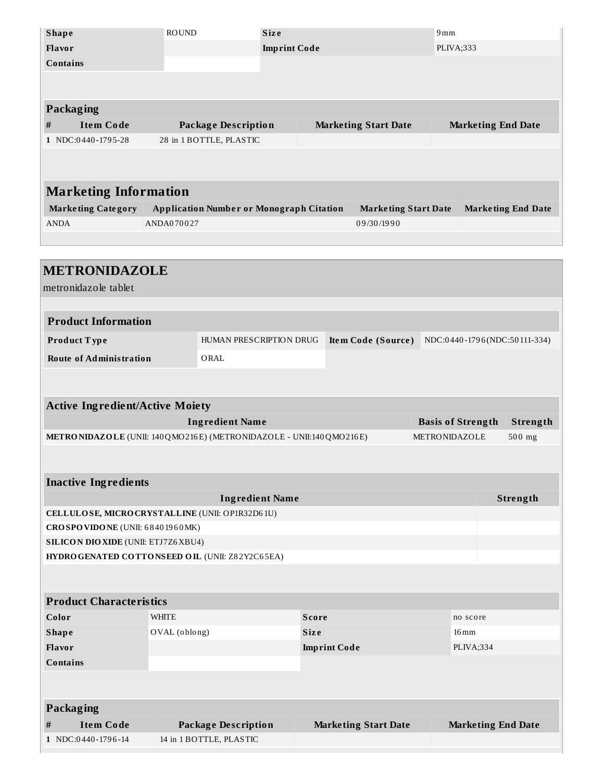|                              | <b>Shape</b>              | <b>ROUND</b>                                    | <b>Size</b>         |  |                             | 9mm                       |                           |  |  |
|------------------------------|---------------------------|-------------------------------------------------|---------------------|--|-----------------------------|---------------------------|---------------------------|--|--|
|                              | <b>Flavor</b>             |                                                 | <b>Imprint Code</b> |  |                             | PLIVA;333                 |                           |  |  |
|                              | <b>Contains</b>           |                                                 |                     |  |                             |                           |                           |  |  |
|                              |                           |                                                 |                     |  |                             |                           |                           |  |  |
|                              |                           |                                                 |                     |  |                             |                           |                           |  |  |
|                              | Packaging                 |                                                 |                     |  |                             |                           |                           |  |  |
| #                            | <b>Item Code</b>          | <b>Package Description</b>                      |                     |  | <b>Marketing Start Date</b> | <b>Marketing End Date</b> |                           |  |  |
|                              | 1 NDC:0440-1795-28        | 28 in 1 BOTTLE, PLASTIC                         |                     |  |                             |                           |                           |  |  |
|                              |                           |                                                 |                     |  |                             |                           |                           |  |  |
|                              |                           |                                                 |                     |  |                             |                           |                           |  |  |
| <b>Marketing Information</b> |                           |                                                 |                     |  |                             |                           |                           |  |  |
|                              |                           |                                                 |                     |  |                             |                           |                           |  |  |
|                              | <b>Marketing Category</b> | <b>Application Number or Monograph Citation</b> |                     |  | <b>Marketing Start Date</b> |                           | <b>Marketing End Date</b> |  |  |
|                              | <b>ANDA</b>               | ANDA070027                                      |                     |  | 09/30/1990                  |                           |                           |  |  |
|                              |                           |                                                 |                     |  |                             |                           |                           |  |  |
|                              |                           |                                                 |                     |  |                             |                           |                           |  |  |
|                              |                           |                                                 |                     |  |                             |                           |                           |  |  |

| <b>METRONIDAZOLE</b><br>metronidazole tablet    |                                                    |                                                                      |  |                             |                          |  |  |                              |
|-------------------------------------------------|----------------------------------------------------|----------------------------------------------------------------------|--|-----------------------------|--------------------------|--|--|------------------------------|
|                                                 |                                                    |                                                                      |  |                             |                          |  |  |                              |
| <b>Product Information</b>                      |                                                    |                                                                      |  |                             |                          |  |  |                              |
| Product Type                                    |                                                    | HUMAN PRESCRIPTION DRUG                                              |  | Item Code (Source)          |                          |  |  | NDC:0440-1796(NDC:50111-334) |
| <b>Route of Administration</b>                  |                                                    | ORAL                                                                 |  |                             |                          |  |  |                              |
|                                                 |                                                    |                                                                      |  |                             |                          |  |  |                              |
|                                                 |                                                    |                                                                      |  |                             |                          |  |  |                              |
| <b>Active Ingredient/Active Moiety</b>          |                                                    |                                                                      |  |                             |                          |  |  |                              |
|                                                 |                                                    | <b>Ingredient Name</b>                                               |  |                             | <b>Basis of Strength</b> |  |  | Strength                     |
|                                                 |                                                    | METRONIDAZOLE (UNII: 140 QMO216E) (METRONIDAZOLE - UNII:140 QMO216E) |  |                             | METRONIDAZOLE            |  |  | 500 mg                       |
|                                                 |                                                    |                                                                      |  |                             |                          |  |  |                              |
|                                                 |                                                    |                                                                      |  |                             |                          |  |  |                              |
| <b>Inactive Ingredients</b>                     |                                                    |                                                                      |  |                             |                          |  |  |                              |
| CELLULOSE, MICRO CRYSTALLINE (UNII: OP1R32D61U) |                                                    | <b>Ingredient Name</b>                                               |  |                             |                          |  |  | Strength                     |
| CROSPOVIDONE (UNII: 68401960MK)                 |                                                    |                                                                      |  |                             |                          |  |  |                              |
| <b>SILICON DIO XIDE (UNII: ETJ7Z6 XBU4)</b>     |                                                    |                                                                      |  |                             |                          |  |  |                              |
| HYDROGENATED COTTONSEED OIL (UNII: Z82Y2C65EA)  |                                                    |                                                                      |  |                             |                          |  |  |                              |
|                                                 |                                                    |                                                                      |  |                             |                          |  |  |                              |
|                                                 |                                                    |                                                                      |  |                             |                          |  |  |                              |
| <b>Product Characteristics</b>                  |                                                    |                                                                      |  |                             |                          |  |  |                              |
| Color                                           | <b>WHITE</b><br><b>Score</b><br>no score           |                                                                      |  |                             |                          |  |  |                              |
| <b>Shape</b>                                    | OVAL (oblong)<br><b>Size</b><br>$16 \,\mathrm{mm}$ |                                                                      |  |                             |                          |  |  |                              |
| Flavor<br><b>Imprint Code</b>                   |                                                    |                                                                      |  | PLIVA;334                   |                          |  |  |                              |
| <b>Contains</b>                                 |                                                    |                                                                      |  |                             |                          |  |  |                              |
|                                                 |                                                    |                                                                      |  |                             |                          |  |  |                              |
|                                                 |                                                    |                                                                      |  |                             |                          |  |  |                              |
| <b>Packaging</b>                                |                                                    |                                                                      |  |                             |                          |  |  |                              |
| <b>Item Code</b><br>#                           |                                                    | <b>Package Description</b>                                           |  | <b>Marketing Start Date</b> |                          |  |  | <b>Marketing End Date</b>    |
| 1 NDC:0440-1796-14                              |                                                    | 14 in 1 BOTTLE, PLASTIC                                              |  |                             |                          |  |  |                              |